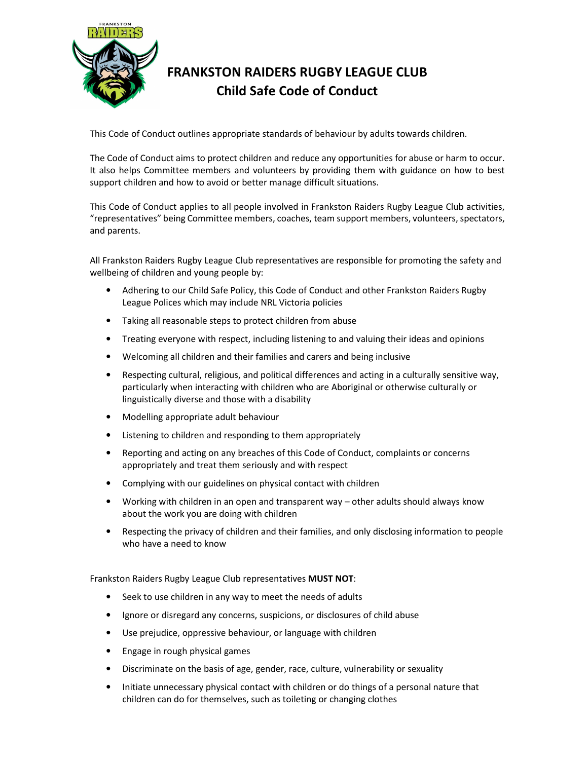

## **FRANKSTON RAIDERS RUGBY LEAGUE CLUB Child Safe Code of Conduct**

This Code of Conduct outlines appropriate standards of behaviour by adults towards children.

The Code of Conduct aims to protect children and reduce any opportunities for abuse or harm to occur. It also helps Committee members and volunteers by providing them with guidance on how to best support children and how to avoid or better manage difficult situations.

This Code of Conduct applies to all people involved in Frankston Raiders Rugby League Club activities, "representatives" being Committee members, coaches, team support members, volunteers, spectators, and parents.

All Frankston Raiders Rugby League Club representatives are responsible for promoting the safety and wellbeing of children and young people by:

- Adhering to our Child Safe Policy, this Code of Conduct and other Frankston Raiders Rugby League Polices which may include NRL Victoria policies
- Taking all reasonable steps to protect children from abuse
- Treating everyone with respect, including listening to and valuing their ideas and opinions
- Welcoming all children and their families and carers and being inclusive
- Respecting cultural, religious, and political differences and acting in a culturally sensitive way, particularly when interacting with children who are Aboriginal or otherwise culturally or linguistically diverse and those with a disability
- Modelling appropriate adult behaviour
- Listening to children and responding to them appropriately
- Reporting and acting on any breaches of this Code of Conduct, complaints or concerns appropriately and treat them seriously and with respect
- Complying with our guidelines on physical contact with children
- Working with children in an open and transparent way other adults should always know about the work you are doing with children
- Respecting the privacy of children and their families, and only disclosing information to people who have a need to know

Frankston Raiders Rugby League Club representatives **MUST NOT**:

- Seek to use children in any way to meet the needs of adults
- Ignore or disregard any concerns, suspicions, or disclosures of child abuse
- Use prejudice, oppressive behaviour, or language with children
- Engage in rough physical games
- Discriminate on the basis of age, gender, race, culture, vulnerability or sexuality
- Initiate unnecessary physical contact with children or do things of a personal nature that children can do for themselves, such as toileting or changing clothes